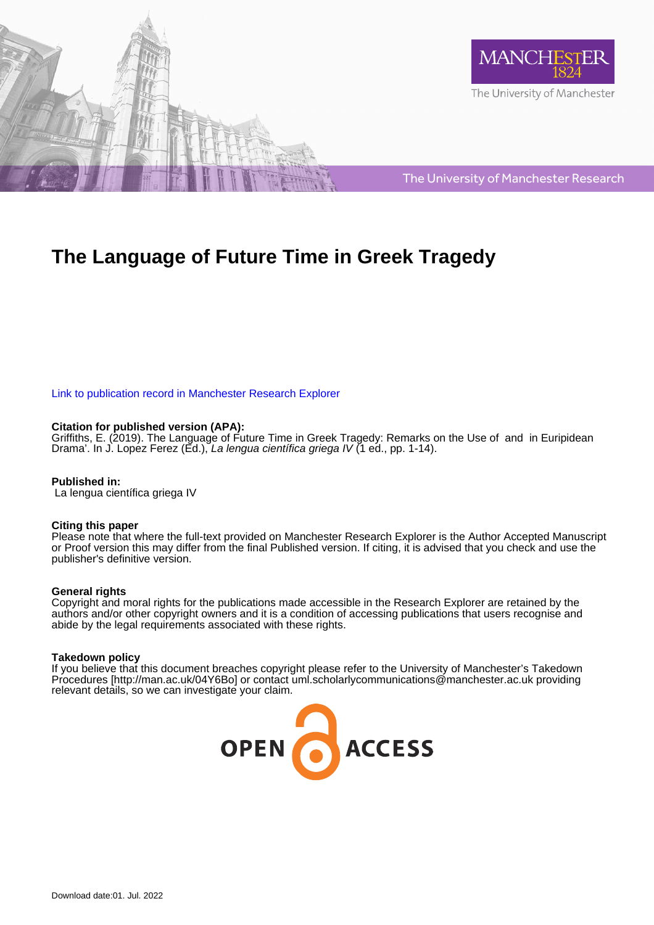



The University of Manchester Research

# **The Language of Future Time in Greek Tragedy**

[Link to publication record in Manchester Research Explorer](https://www.research.manchester.ac.uk/portal/en/publications/the-language-of-future-time-in-greek-tragedy(90f2d472-03c3-4248-b2da-854499431042).html)

#### **Citation for published version (APA):**

[Griffiths, E.](/portal/emma.m.griffiths.html) (2019). [The Language of Future Time in Greek Tragedy: Remarks on the Use of and in Euripidean](https://www.research.manchester.ac.uk/portal/en/publications/the-language-of-future-time-in-greek-tragedy(90f2d472-03c3-4248-b2da-854499431042).html) [Drama'](https://www.research.manchester.ac.uk/portal/en/publications/the-language-of-future-time-in-greek-tragedy(90f2d472-03c3-4248-b2da-854499431042).html). In J. Lopez Ferez (Ed.), La lengua científica griega IV (1 ed., pp. 1-14).

#### **Published in:**

La lengua científica griega IV

#### **Citing this paper**

Please note that where the full-text provided on Manchester Research Explorer is the Author Accepted Manuscript or Proof version this may differ from the final Published version. If citing, it is advised that you check and use the publisher's definitive version.

#### **General rights**

Copyright and moral rights for the publications made accessible in the Research Explorer are retained by the authors and/or other copyright owners and it is a condition of accessing publications that users recognise and abide by the legal requirements associated with these rights.

#### **Takedown policy**

If you believe that this document breaches copyright please refer to the University of Manchester's Takedown Procedures [http://man.ac.uk/04Y6Bo] or contact uml.scholarlycommunications@manchester.ac.uk providing relevant details, so we can investigate your claim.

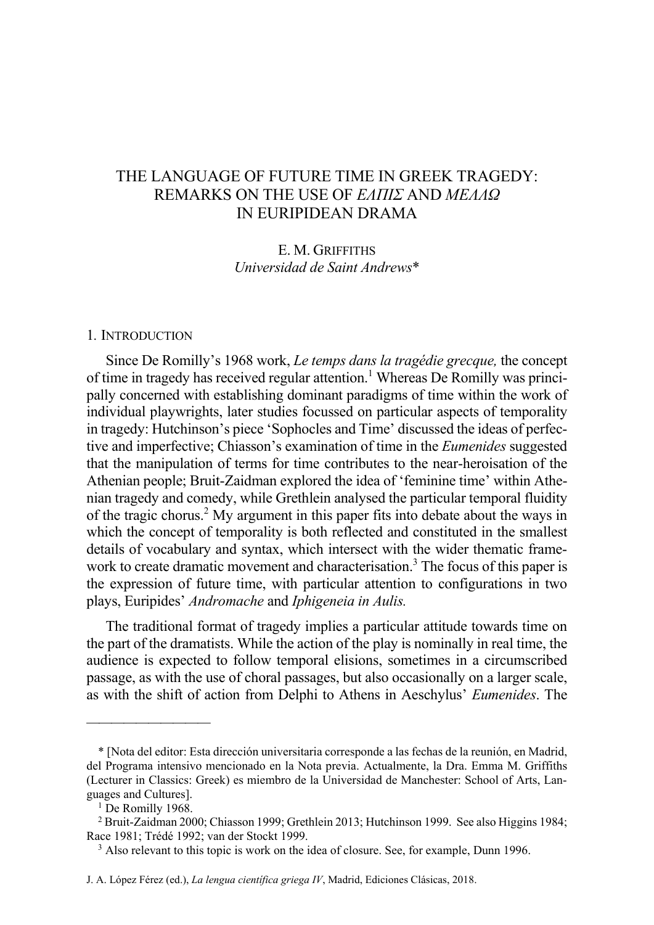## THE LANGUAGE OF FUTURE TIME IN GREEK TRAGEDY: REMARKS ON THE USE OF *EΛΠΙΣ* AND *ΜEΛΛΩ* IN EURIPIDEAN DRAMA

E. M. GRIFFITHS *Universidad de Saint Andrews*\*

#### 1*.* INTRODUCTION

Since De Romilly's 1968 work, *Le temps dans la tragédie grecque,* the concept of time in tragedy has received regular attention.1 Whereas De Romilly was principally concerned with establishing dominant paradigms of time within the work of individual playwrights, later studies focussed on particular aspects of temporality in tragedy: Hutchinson's piece 'Sophocles and Time' discussed the ideas of perfective and imperfective; Chiasson's examination of time in the *Eumenides* suggested that the manipulation of terms for time contributes to the near-heroisation of the Athenian people; Bruit-Zaidman explored the idea of 'feminine time' within Athenian tragedy and comedy, while Grethlein analysed the particular temporal fluidity of the tragic chorus.2 My argument in this paper fits into debate about the ways in which the concept of temporality is both reflected and constituted in the smallest details of vocabulary and syntax, which intersect with the wider thematic framework to create dramatic movement and characterisation.<sup>3</sup> The focus of this paper is the expression of future time, with particular attention to configurations in two plays, Euripides' *Andromache* and *Iphigeneia in Aulis.*

The traditional format of tragedy implies a particular attitude towards time on the part of the dramatists. While the action of the play is nominally in real time, the audience is expected to follow temporal elisions, sometimes in a circumscribed passage, as with the use of choral passages, but also occasionally on a larger scale, as with the shift of action from Delphi to Athens in Aeschylus' *Eumenides*. The

<sup>\* [</sup>Nota del editor: Esta dirección universitaria corresponde a las fechas de la reunión, en Madrid, del Programa intensivo mencionado en la Nota previa. Actualmente, la Dra. Emma M. Griffiths (Lecturer in Classics: Greek) es miembro de la Universidad de Manchester: School of Arts, Languages and Cultures].

<sup>&</sup>lt;sup>1</sup> De Romilly 1968.

<sup>2</sup> Bruit-Zaidman 2000; Chiasson 1999; Grethlein 2013; Hutchinson 1999. See also Higgins 1984; Race 1981; Trédé 1992; van der Stockt 1999.

<sup>&</sup>lt;sup>3</sup> Also relevant to this topic is work on the idea of closure. See, for example, Dunn 1996.

J. A. López Férez (ed.), *La lengua científica griega IV*, Madrid, Ediciones Clásicas, 2018.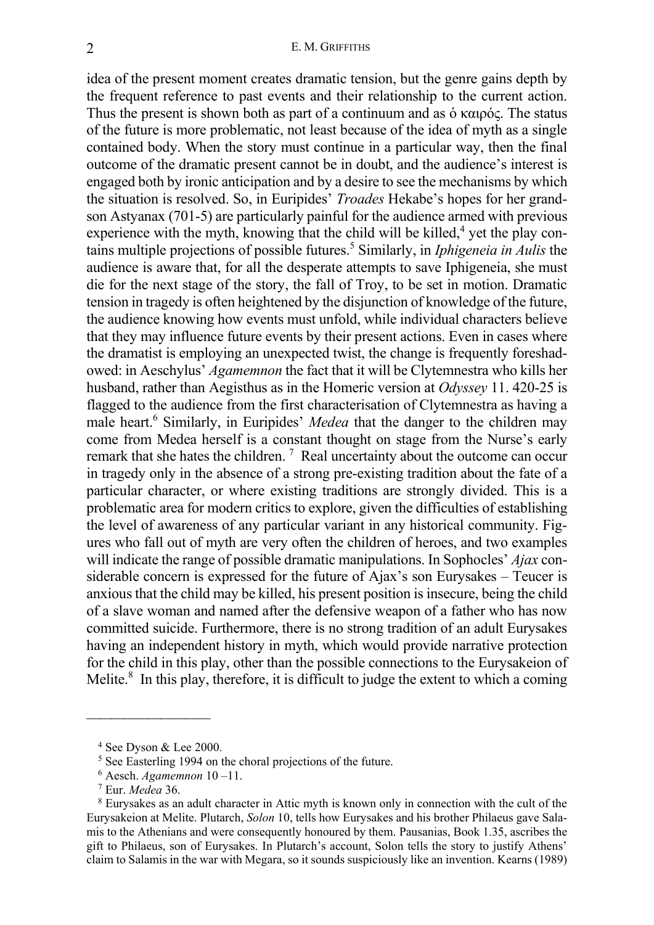idea of the present moment creates dramatic tension, but the genre gains depth by the frequent reference to past events and their relationship to the current action. Thus the present is shown both as part of a continuum and as ὁ καιρός. The status of the future is more problematic, not least because of the idea of myth as a single contained body. When the story must continue in a particular way, then the final outcome of the dramatic present cannot be in doubt, and the audience's interest is engaged both by ironic anticipation and by a desire to see the mechanisms by which the situation is resolved. So, in Euripides' *Troades* Hekabe's hopes for her grandson Astyanax (701-5) are particularly painful for the audience armed with previous experience with the myth, knowing that the child will be killed,<sup>4</sup> yet the play contains multiple projections of possible futures.5 Similarly, in *Iphigeneia in Aulis* the audience is aware that, for all the desperate attempts to save Iphigeneia, she must die for the next stage of the story, the fall of Troy, to be set in motion. Dramatic tension in tragedy is often heightened by the disjunction of knowledge of the future, the audience knowing how events must unfold, while individual characters believe that they may influence future events by their present actions. Even in cases where the dramatist is employing an unexpected twist, the change is frequently foreshadowed: in Aeschylus' *Agamemnon* the fact that it will be Clytemnestra who kills her husband, rather than Aegisthus as in the Homeric version at *Odyssey* 11. 420-25 is flagged to the audience from the first characterisation of Clytemnestra as having a male heart.<sup>6</sup> Similarly, in Euripides' *Medea* that the danger to the children may come from Medea herself is a constant thought on stage from the Nurse's early remark that she hates the children.<sup>7</sup> Real uncertainty about the outcome can occur in tragedy only in the absence of a strong pre-existing tradition about the fate of a particular character, or where existing traditions are strongly divided. This is a problematic area for modern critics to explore, given the difficulties of establishing the level of awareness of any particular variant in any historical community. Figures who fall out of myth are very often the children of heroes, and two examples will indicate the range of possible dramatic manipulations. In Sophocles' *Ajax* considerable concern is expressed for the future of Ajax's son Eurysakes – Teucer is anxious that the child may be killed, his present position is insecure, being the child of a slave woman and named after the defensive weapon of a father who has now committed suicide. Furthermore, there is no strong tradition of an adult Eurysakes having an independent history in myth, which would provide narrative protection for the child in this play, other than the possible connections to the Eurysakeion of Melite. $8$  In this play, therefore, it is difficult to judge the extent to which a coming

<sup>4</sup> See Dyson & Lee 2000.

<sup>5</sup> See Easterling 1994 on the choral projections of the future.

<sup>6</sup> Aesch. *Agamemnon* 10 –11.

<sup>7</sup> Eur. *Medea* 36.

<sup>8</sup> Eurysakes as an adult character in Attic myth is known only in connection with the cult of the Eurysakeion at Melite. Plutarch, *Solon* 10, tells how Eurysakes and his brother Philaeus gave Salamis to the Athenians and were consequently honoured by them. Pausanias, Book 1.35, ascribes the gift to Philaeus, son of Eurysakes. In Plutarch's account, Solon tells the story to justify Athens' claim to Salamis in the war with Megara, so it sounds suspiciously like an invention. Kearns (1989)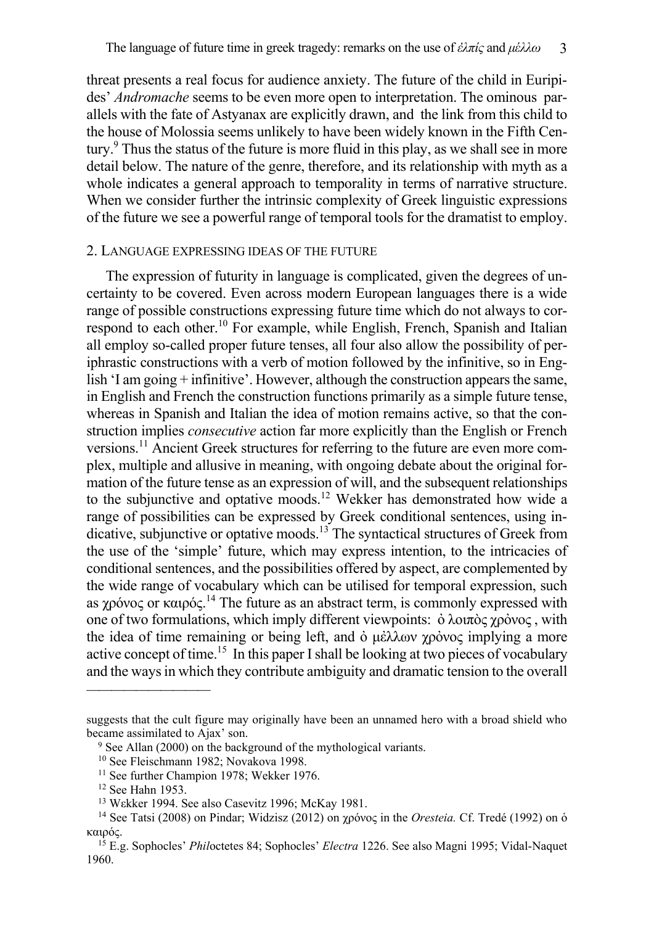threat presents a real focus for audience anxiety. The future of the child in Euripides' *Andromache* seems to be even more open to interpretation. The ominous parallels with the fate of Astyanax are explicitly drawn, and the link from this child to the house of Molossia seems unlikely to have been widely known in the Fifth Century.<sup>9</sup> Thus the status of the future is more fluid in this play, as we shall see in more detail below. The nature of the genre, therefore, and its relationship with myth as a whole indicates a general approach to temporality in terms of narrative structure. When we consider further the intrinsic complexity of Greek linguistic expressions of the future we see a powerful range of temporal tools for the dramatist to employ.

## 2. LANGUAGE EXPRESSING IDEAS OF THE FUTURE

The expression of futurity in language is complicated, given the degrees of uncertainty to be covered. Even across modern European languages there is a wide range of possible constructions expressing future time which do not always to correspond to each other.10 For example, while English, French, Spanish and Italian all employ so-called proper future tenses, all four also allow the possibility of periphrastic constructions with a verb of motion followed by the infinitive, so in English 'I am going + infinitive'. However, although the construction appears the same, in English and French the construction functions primarily as a simple future tense, whereas in Spanish and Italian the idea of motion remains active, so that the construction implies *consecutive* action far more explicitly than the English or French versions.11 Ancient Greek structures for referring to the future are even more complex, multiple and allusive in meaning, with ongoing debate about the original formation of the future tense as an expression of will, and the subsequent relationships to the subjunctive and optative moods.<sup>12</sup> Wekker has demonstrated how wide a range of possibilities can be expressed by Greek conditional sentences, using indicative, subjunctive or optative moods.13 The syntactical structures of Greek from the use of the 'simple' future, which may express intention, to the intricacies of conditional sentences, and the possibilities offered by aspect, are complemented by the wide range of vocabulary which can be utilised for temporal expression, such as χρόνος or καιρός.<sup>14</sup> The future as an abstract term, is commonly expressed with one of two formulations, which imply different viewpoints: ὀλοιπὸς χρόνος, with the idea of time remaining or being left, and  $\dot{\phi}$  μέλλων χρόνος implying a more active concept of time.<sup>15</sup> In this paper I shall be looking at two pieces of vocabulary and the ways in which they contribute ambiguity and dramatic tension to the overall

suggests that the cult figure may originally have been an unnamed hero with a broad shield who became assimilated to Ajax' son.

<sup>&</sup>lt;sup>9</sup> See Allan (2000) on the background of the mythological variants.

<sup>10</sup> See Fleischmann 1982; Novakova 1998.

<sup>&</sup>lt;sup>11</sup> See further Champion 1978; Wekker 1976.

<sup>12</sup> See Hahn 1953.

<sup>13</sup> Wεkker 1994. See also Casevitz 1996; McKay 1981.

<sup>14</sup> See Tatsi (2008) on Pindar; Widzisz (2012) on χρόνος in the *Oresteia.* Cf. Tredé (1992) on ὁ καιρός.

<sup>15</sup> E.g. Sophocles' *Phil*octetes 84; Sophocles' *Electra* 1226. See also Magni 1995; Vidal-Naquet 1960.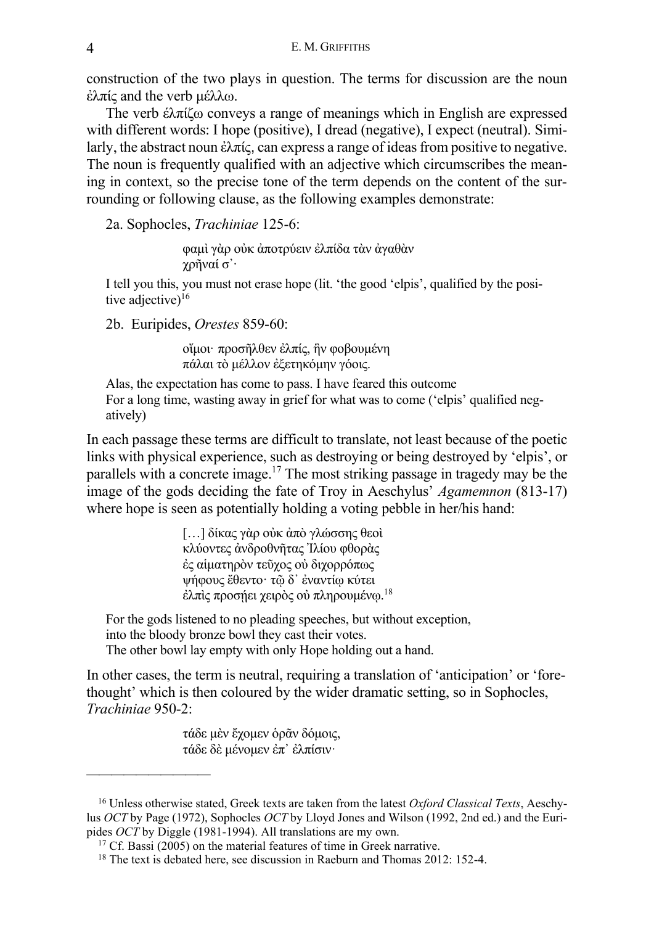construction of the two plays in question. The terms for discussion are the noun ἐλπίς and the verb μέλλω.

The verb έλπίζω conveys a range of meanings which in English are expressed with different words: I hope (positive), I dread (negative), I expect (neutral). Similarly, the abstract noun ἐλπίς, can express a range of ideas from positive to negative. The noun is frequently qualified with an adjective which circumscribes the meaning in context, so the precise tone of the term depends on the content of the surrounding or following clause, as the following examples demonstrate:

2a. Sophocles, *Trachiniae* 125-6:

φαμὶ γὰρ οὐκ ἀποτρύειν ἐλπίδα τὰν ἀγαθὰν χρῆναί σ᾽·

I tell you this, you must not erase hope (lit. 'the good 'elpis', qualified by the positive adjective)<sup>16</sup>

2b. Euripides, *Orestes* 859-60:

οἴμοι· προσῆλθεν ἐλπίς, ἣν φοβουμένη πάλαι τὸ μέλλον ἐξετηκόμην γόοις.

Alas, the expectation has come to pass. I have feared this outcome For a long time, wasting away in grief for what was to come ('elpis' qualified negatively)

In each passage these terms are difficult to translate, not least because of the poetic links with physical experience, such as destroying or being destroyed by 'elpis', or parallels with a concrete image.17 The most striking passage in tragedy may be the image of the gods deciding the fate of Troy in Aeschylus' *Agamemnon* (813-17) where hope is seen as potentially holding a voting pebble in her/his hand:

> […] δίκας γὰρ οὐκ ἀπὸ γλώσσης θεοὶ κλύοντες ἀνδροθνῆτας Ἰλίου φθορὰς ἐς αἱματηρὸν τεῦχος οὐ διχορρόπως ψήφους ἔθεντο· τῷ δ᾽ ἐναντίῳ κύτει έλπὶς προσήει χειρὸς οὐ πληρουμένῳ.<sup>18</sup>

For the gods listened to no pleading speeches, but without exception, into the bloody bronze bowl they cast their votes. The other bowl lay empty with only Hope holding out a hand.

In other cases, the term is neutral, requiring a translation of 'anticipation' or 'forethought' which is then coloured by the wider dramatic setting, so in Sophocles, *Trachiniae* 950-2:

> τάδε μὲν ἔχομεν ὁρᾶν δόμοις, τάδε δὲ μένομεν ἐπ᾽ ἐλπίσιν·

<sup>16</sup> Unless otherwise stated, Greek texts are taken from the latest *Oxford Classical Texts*, Aeschylus *OCT* by Page (1972), Sophocles *OCT* by Lloyd Jones and Wilson (1992, 2nd ed.) and the Euripides *OCT* by Diggle (1981-1994). All translations are my own.

<sup>&</sup>lt;sup>17</sup> Cf. Bassi (2005) on the material features of time in Greek narrative.

<sup>&</sup>lt;sup>18</sup> The text is debated here, see discussion in Raeburn and Thomas 2012: 152-4.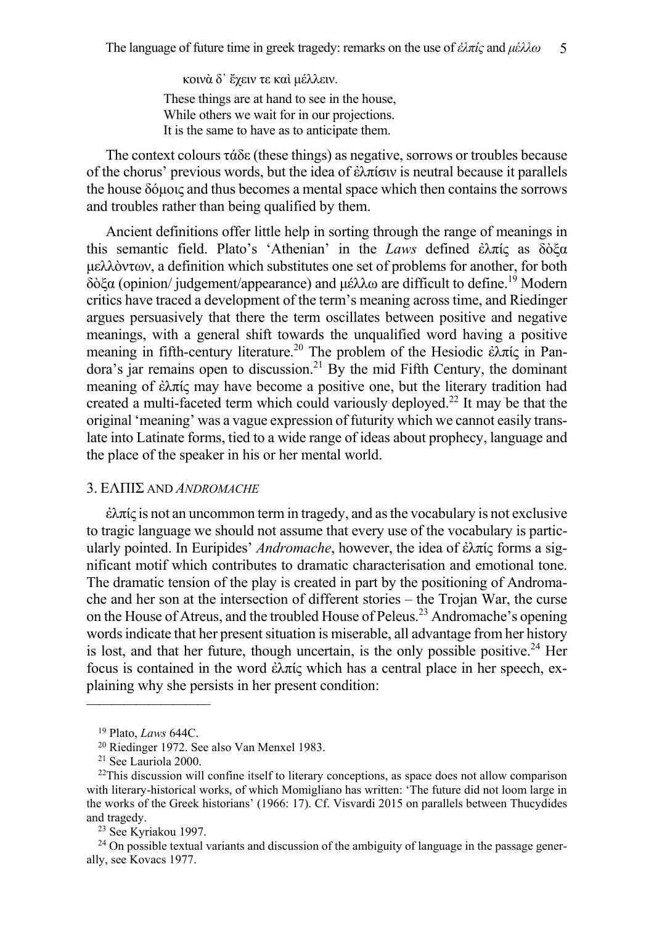κοινὰ δ᾽ ἔχειν τε καὶ μέλλειν. These things are at hand to see in the house, While others we wait for in our projections. It is the same to have as to anticipate them.

The context colours τάδε (these things) as negative, sorrows or troubles because of the chorus' previous words, but the idea of ἐλπίσιν is neutral because it parallels the house δόμοις and thus becomes a mental space which then contains the sorrows and troubles rather than being qualified by them.

Ancient definitions offer little help in sorting through the range of meanings in this semantic field. Plato's 'Athenian' in the *Laws* defined ἐλπίς as δὸξα μελλὸντων, a definition which substitutes one set of problems for another, for both δὸξα (opinion/ judgement/appearance) and μέλλω are difficult to define.19 Modern critics have traced a development of the term's meaning across time, and Riedinger argues persuasively that there the term oscillates between positive and negative meanings, with a general shift towards the unqualified word having a positive meaning in fifth-century literature.<sup>20</sup> The problem of the Hesiodic ἐλπίς in Pandora's jar remains open to discussion.<sup>21</sup> By the mid Fifth Century, the dominant meaning of ἐλπίς may have become a positive one, but the literary tradition had created a multi-faceted term which could variously deployed.<sup>22</sup> It may be that the original 'meaning' was a vague expression of futurity which we cannot easily translate into Latinate forms, tied to a wide range of ideas about prophecy, language and the place of the speaker in his or her mental world.

## 3. ΕΛΠΙΣ AND *ANDROMACHE*

 $\dot{\epsilon}$ λπίς is not an uncommon term in tragedy, and as the vocabulary is not exclusive to tragic language we should not assume that every use of the vocabulary is particularly pointed. In Euripides' *Andromache*, however, the idea of ἐλπίς forms a significant motif which contributes to dramatic characterisation and emotional tone. The dramatic tension of the play is created in part by the positioning of Andromache and her son at the intersection of different stories – the Trojan War, the curse on the House of Atreus, and the troubled House of Peleus.23 Andromache's opening words indicate that her present situation is miserable, all advantage from her history is lost, and that her future, though uncertain, is the only possible positive.<sup>24</sup> Her focus is contained in the word ἐλπίς which has a central place in her speech, explaining why she persists in her present condition:

<sup>19</sup> Plato, *Laws* 644C.

<sup>20</sup> Riedinger 1972. See also Van Menxel 1983.

<sup>21</sup> See Lauriola 2000.

 $22$ This discussion will confine itself to literary conceptions, as space does not allow comparison with literary-historical works, of which Momigliano has written: 'The future did not loom large in the works of the Greek historians' (1966: 17). Cf. Visvardi 2015 on parallels between Thucydides and tragedy.

<sup>23</sup> See Kyriakou 1997.

<sup>&</sup>lt;sup>24</sup> On possible textual variants and discussion of the ambiguity of language in the passage generally, see Kovacs 1977.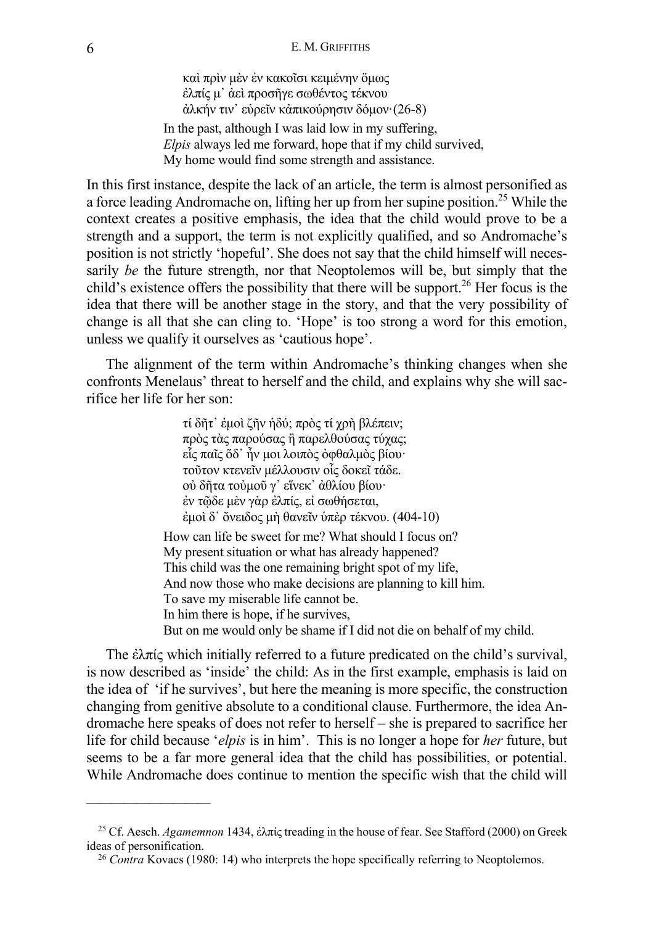καὶ πρὶν μὲν ἐν κακοῖσι κειμένην ὅμως ἐλπίς μ᾽ ἀεὶ προσῆγε σωθέντος τέκνου ἀλκήν τιν᾽ εὑρεῖν κἀπικούρησιν δόμον·(26-8)

In the past, although I was laid low in my suffering, *Elpis* always led me forward, hope that if my child survived, My home would find some strength and assistance.

In this first instance, despite the lack of an article, the term is almost personified as a force leading Andromache on, lifting her up from her supine position. <sup>25</sup> While the context creates a positive emphasis, the idea that the child would prove to be a strength and a support, the term is not explicitly qualified, and so Andromache's position is not strictly 'hopeful'. She does not say that the child himself will necessarily *be* the future strength, nor that Neoptolemos will be, but simply that the child's existence offers the possibility that there will be support.<sup>26</sup> Her focus is the idea that there will be another stage in the story, and that the very possibility of change is all that she can cling to. 'Hope' is too strong a word for this emotion, unless we qualify it ourselves as 'cautious hope'.

The alignment of the term within Andromache's thinking changes when she confronts Menelaus' threat to herself and the child, and explains why she will sacrifice her life for her son:

> τί δῆτ᾽ ἐμοὶ ζῆν ἡδύ; πρὸς τί χρὴ βλέπειν; πρὸς τὰς παρούσας ἢ παρελθούσας τύχας; εἷς παῖς ὅδ᾽ ἦν μοι λοιπὸς ὀφθαλμὸς βίου· τοῦτον κτενεῖν μέλλουσιν οἷς δοκεῖ τάδε. οὐ δῆτα τοὐμοῦ γ᾽ εἵνεκ᾽ ἀθλίου βίου· ἐν τῷδε μὲν γὰρ ἐλπίς, εἰ σωθήσεται, ἐμοὶ δ᾽ ὄνειδος μὴ θανεῖν ὑπὲρ τέκνου. (404-10) How can life be sweet for me? What should I focus on? My present situation or what has already happened?

This child was the one remaining bright spot of my life, And now those who make decisions are planning to kill him. To save my miserable life cannot be. In him there is hope, if he survives, But on me would only be shame if I did not die on behalf of my child.

The ἐλπίς which initially referred to a future predicated on the child's survival, is now described as 'inside' the child: As in the first example, emphasis is laid on the idea of 'if he survives', but here the meaning is more specific, the construction changing from genitive absolute to a conditional clause. Furthermore, the idea Andromache here speaks of does not refer to herself – she is prepared to sacrifice her life for child because '*elpis* is in him'. This is no longer a hope for *her* future, but seems to be a far more general idea that the child has possibilities, or potential. While Andromache does continue to mention the specific wish that the child will

<sup>25</sup> Cf. Aesch. *Agamemnon* 1434, ἐλπίς treading in the house of fear. See Stafford (2000) on Greek ideas of personification.

<sup>26</sup> *Contra* Kovacs (1980: 14) who interprets the hope specifically referring to Neoptolemos.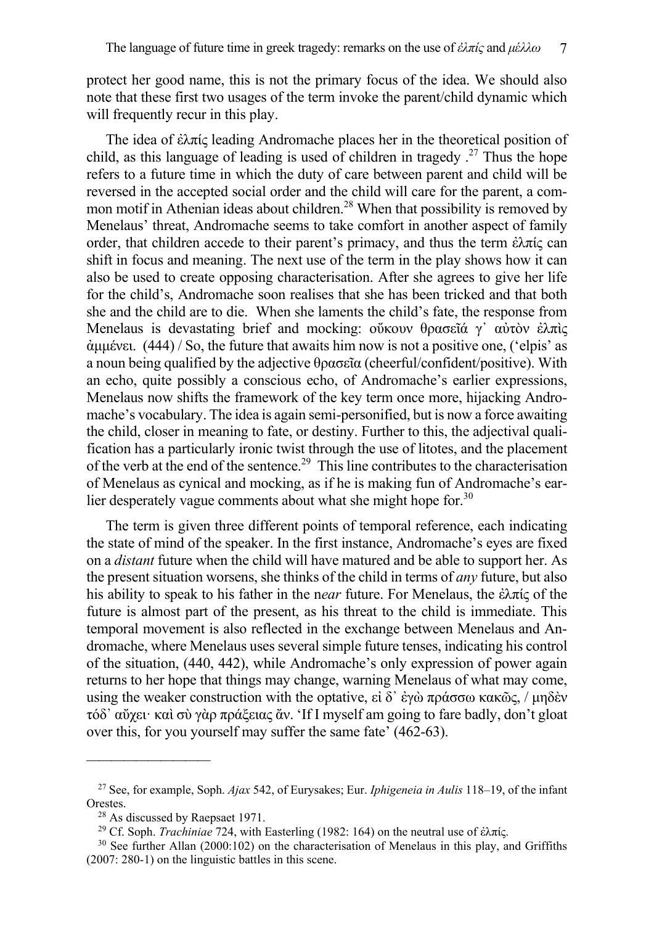protect her good name, this is not the primary focus of the idea. We should also note that these first two usages of the term invoke the parent/child dynamic which will frequently recur in this play.

The idea of ἐλπίς leading Andromache places her in the theoretical position of child, as this language of leading is used of children in tragedy  $2^7$ . Thus the hope refers to a future time in which the duty of care between parent and child will be reversed in the accepted social order and the child will care for the parent, a common motif in Athenian ideas about children.<sup>28</sup> When that possibility is removed by Menelaus' threat, Andromache seems to take comfort in another aspect of family order, that children accede to their parent's primacy, and thus the term ἐλπίς can shift in focus and meaning. The next use of the term in the play shows how it can also be used to create opposing characterisation. After she agrees to give her life for the child's, Andromache soon realises that she has been tricked and that both she and the child are to die. When she laments the child's fate, the response from Menelaus is devastating brief and mocking: ούκουν θρασεῖά γ' αὐτὸν ἐλπὶς ἀμμένει. (444) / So, the future that awaits him now is not a positive one, ('elpis' as a noun being qualified by the adjective θρασεῖα (cheerful/confident/positive). With an echo, quite possibly a conscious echo, of Andromache's earlier expressions, Menelaus now shifts the framework of the key term once more, hijacking Andromache's vocabulary. The idea is again semi-personified, but is now a force awaiting the child, closer in meaning to fate, or destiny. Further to this, the adjectival qualification has a particularly ironic twist through the use of litotes, and the placement of the verb at the end of the sentence.<sup>29</sup> This line contributes to the characterisation of Menelaus as cynical and mocking, as if he is making fun of Andromache's earlier desperately vague comments about what she might hope for.<sup>30</sup>

The term is given three different points of temporal reference, each indicating the state of mind of the speaker. In the first instance, Andromache's eyes are fixed on a *distant* future when the child will have matured and be able to support her. As the present situation worsens, she thinks of the child in terms of *any* future, but also his ability to speak to his father in the n*ear* future. For Menelaus, the ἐλπίς of the future is almost part of the present, as his threat to the child is immediate. This temporal movement is also reflected in the exchange between Menelaus and Andromache, where Menelaus uses several simple future tenses, indicating his control of the situation, (440, 442), while Andromache's only expression of power again returns to her hope that things may change, warning Menelaus of what may come, using the weaker construction with the optative, εἰ δ' ἐγὼ πράσσω κακῶς, / μηδὲν τόδ᾽ αὔχει· καὶ σὺ γὰρ πράξειας ἄν. 'If I myself am going to fare badly, don't gloat over this, for you yourself may suffer the same fate' (462-63).

<sup>27</sup> See, for example, Soph. *Ajax* 542, of Eurysakes; Eur. *Iphigeneia in Aulis* 118–19, of the infant Orestes.

<sup>&</sup>lt;sup>28</sup> As discussed by Raepsaet 1971.

<sup>&</sup>lt;sup>29</sup> Cf. Soph. *Trachiniae* 724, with Easterling (1982: 164) on the neutral use of ἐλπίς.

 $30$  See further Allan (2000:102) on the characterisation of Menelaus in this play, and Griffiths (2007: 280-1) on the linguistic battles in this scene.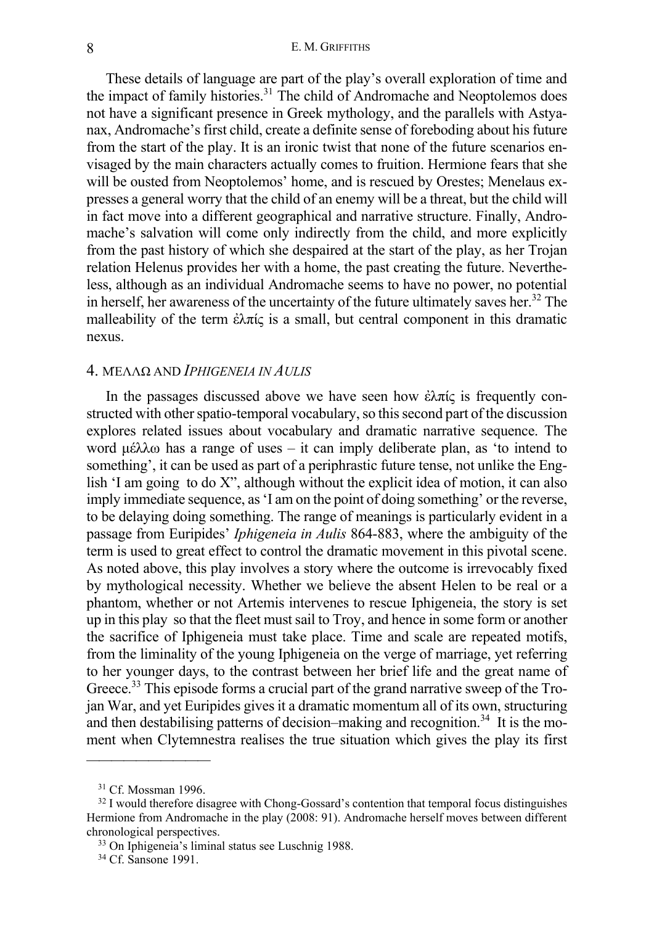These details of language are part of the play's overall exploration of time and the impact of family histories.<sup>31</sup> The child of Andromache and Neoptolemos does not have a significant presence in Greek mythology, and the parallels with Astyanax, Andromache's first child, create a definite sense of foreboding about his future from the start of the play. It is an ironic twist that none of the future scenarios envisaged by the main characters actually comes to fruition. Hermione fears that she will be ousted from Neoptolemos' home, and is rescued by Orestes; Menelaus expresses a general worry that the child of an enemy will be a threat, but the child will in fact move into a different geographical and narrative structure. Finally, Andromache's salvation will come only indirectly from the child, and more explicitly from the past history of which she despaired at the start of the play, as her Trojan relation Helenus provides her with a home, the past creating the future. Nevertheless, although as an individual Andromache seems to have no power, no potential in herself, her awareness of the uncertainty of the future ultimately saves her.<sup>32</sup> The malleability of the term ἐλπίς is a small, but central component in this dramatic nexus.

## 4. ȂΈȁȁΩ AND *IPHIGENEIA IN AULIS*

In the passages discussed above we have seen how ἐλπίς is frequently constructed with other spatio-temporal vocabulary, so this second part of the discussion explores related issues about vocabulary and dramatic narrative sequence. The word μέλλω has a range of uses – it can imply deliberate plan, as 'to intend to something', it can be used as part of a periphrastic future tense, not unlike the English 'I am going to do X", although without the explicit idea of motion, it can also imply immediate sequence, as 'I am on the point of doing something' or the reverse, to be delaying doing something. The range of meanings is particularly evident in a passage from Euripides' *Iphigeneia in Aulis* 864-883, where the ambiguity of the term is used to great effect to control the dramatic movement in this pivotal scene. As noted above, this play involves a story where the outcome is irrevocably fixed by mythological necessity. Whether we believe the absent Helen to be real or a phantom, whether or not Artemis intervenes to rescue Iphigeneia, the story is set up in this play so that the fleet must sail to Troy, and hence in some form or another the sacrifice of Iphigeneia must take place. Time and scale are repeated motifs, from the liminality of the young Iphigeneia on the verge of marriage, yet referring to her younger days, to the contrast between her brief life and the great name of Greece.<sup>33</sup> This episode forms a crucial part of the grand narrative sweep of the Trojan War, and yet Euripides gives it a dramatic momentum all of its own, structuring and then destabilising patterns of decision–making and recognition.<sup>34</sup> It is the moment when Clytemnestra realises the true situation which gives the play its first

<sup>31</sup> Cf. Mossman 1996.

<sup>&</sup>lt;sup>32</sup> I would therefore disagree with Chong-Gossard's contention that temporal focus distinguishes Hermione from Andromache in the play (2008: 91). Andromache herself moves between different chronological perspectives.

<sup>33</sup> On Iphigeneia's liminal status see Luschnig 1988.

<sup>34</sup> Cf. Sansone 1991.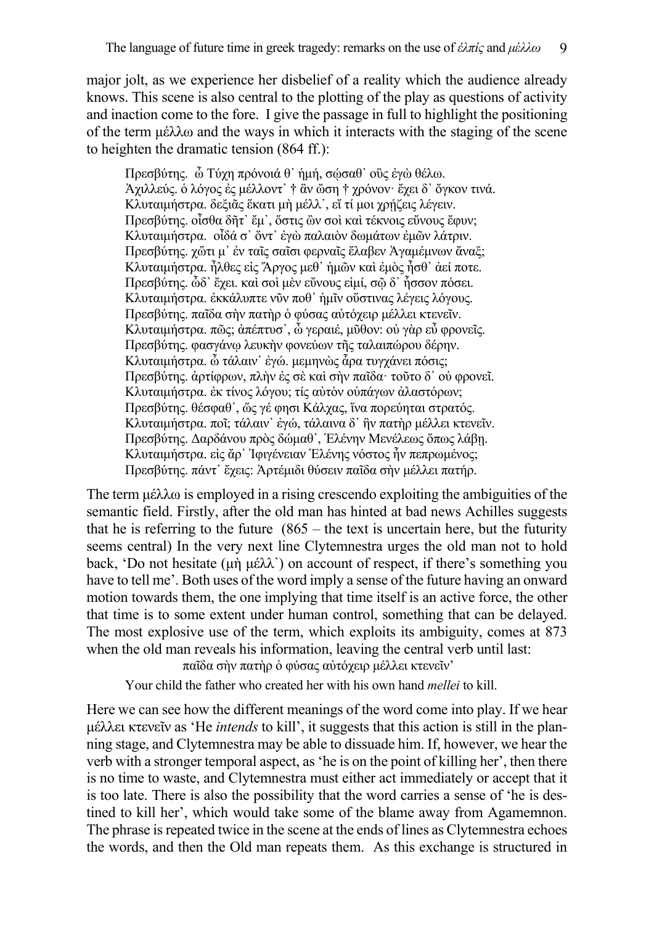major jolt, as we experience her disbelief of a reality which the audience already knows. This scene is also central to the plotting of the play as questions of activity and inaction come to the fore. I give the passage in full to highlight the positioning of the term μέλλω and the ways in which it interacts with the staging of the scene to heighten the dramatic tension (864 ff.):

Πρεσβύτης. ὦ Τύχη πρόνοιά θ᾽ ἡμή, σῴσαθ᾽ οὓς ἐγὼ θέλω. Ἀχιλλεύς. ὁ λόγος ἐς μέλλοντ᾽ † ἂν ὤση † χρόνον· ἔχει δ᾽ ὄγκον τινά. Κλυταιμήστρα. δεξιᾶς ἕκατι μὴ μέλλ', εἴ τί μοι χρήζεις λέγειν. Πρεσβύτης. οἶσθα δῆτ᾽ ἔμ᾽, ὅστις ὢν σοὶ καὶ τέκνοις εὔνους ἔφυν; Ȁλυταιμήστρα. οἶδά σ᾽ ὄντ᾽ ἐγὼ παλαιὸν δωμάτων ἐμῶν λάτριν. Πρεσβύτης. χὥτι μ᾽ ἐν ταῖς σαῖσι φερναῖς ἔλαβεν Ἀγαμέμνων ἄναξ; Ȁλυταιμήστρα. ἦλθες εἰς Ἄργος μεθ᾽ ἡμῶν καὶ ἐμὸς ἦσθ᾽ ἀεί ποτε. Πρεσβύτης. ὧδ᾽ ἔχει. καὶ σοὶ μὲν εὔνους εἰμί, σῷ δ᾽ ἧσσον πόσει. Ȁλυταιμήστρα. ἐκκάλυπτε νῦν ποθ᾽ ἡμῖν οὕστινας λέγεις λόγους. Πρεσβύτης. παῖδα σὴν πατὴρ ὁ φύσας αὐτόχειρ μέλλει κτενεῖν. Ȁλυταιμήστρα. πῶς; ἀπέπτυσ᾽, ὦ γεραιέ, μῦθον: οὐ γὰρ εὖ φρονεῖς. Πρεσβύτης. φασγάνῳ λευκὴν φονεύων τῆς ταλαιπώρου δέρην. Ȁλυταιμήστρα. ὦ τάλαιν᾽ ἐγώ. μεμηνὼς ἆρα τυγχάνει πόσις; Πρεσβύτης. ἀρτίφρων, πλὴν ἐς σὲ καὶ σὴν παῖδα· τοῦτο δ᾽ οὐ φρονεῖ. Ȁλυταιμήστρα. ἐκ τίνος λόγου; τίς αὐτὸν οὑπάγων ἀλαστόρων; Πρεσβύτης. θέσφαθ᾽, ὥς γέ φησι Ȁάλχας, ἵνα πορεύηται στρατός. Ȁλυταιμήστρα. ποῖ; τάλαιν᾽ ἐγώ, τάλαινα δ᾽ ἣν πατὴρ μέλλει κτενεῖν. Πρεσβύτης. Δαρδάνου πρὸς δώμαθ᾽, Ἑλένην Ȃενέλεως ὅπως λάβῃ. Ȁλυταιμήστρα. εἰς ἄρ᾽ Ἰφιγένειαν Ἑλένης νόστος ἦν πεπρωμένος; Πρεσβύτης. πάντ᾽ ἔχεις: Ἀρτέμιδι θύσειν παῖδα σὴν μέλλει πατήρ.

The term μέλλω is employed in a rising crescendo exploiting the ambiguities of the semantic field. Firstly, after the old man has hinted at bad news Achilles suggests that he is referring to the future  $(865 -$  the text is uncertain here, but the futurity seems central) In the very next line Clytemnestra urges the old man not to hold back, 'Do not hesitate (μὴ μέλλ᾽) on account of respect, if there's something you have to tell me'. Both uses of the word imply a sense of the future having an onward motion towards them, the one implying that time itself is an active force, the other that time is to some extent under human control, something that can be delayed. The most explosive use of the term, which exploits its ambiguity, comes at 873 when the old man reveals his information, leaving the central verb until last:

παῖδα σὴν πατὴρ ὁ φύσας αὐτόχειρ μέλλει κτενεῖν'

Your child the father who created her with his own hand *mellei* to kill.

Here we can see how the different meanings of the word come into play. If we hear μέλλει κτενεῖν as 'He *intends* to kill', it suggests that this action is still in the planning stage, and Clytemnestra may be able to dissuade him. If, however, we hear the verb with a stronger temporal aspect, as 'he is on the point of killing her', then there is no time to waste, and Clytemnestra must either act immediately or accept that it is too late. There is also the possibility that the word carries a sense of 'he is destined to kill her', which would take some of the blame away from Agamemnon. The phrase is repeated twice in the scene at the ends of lines as Clytemnestra echoes the words, and then the Old man repeats them. As this exchange is structured in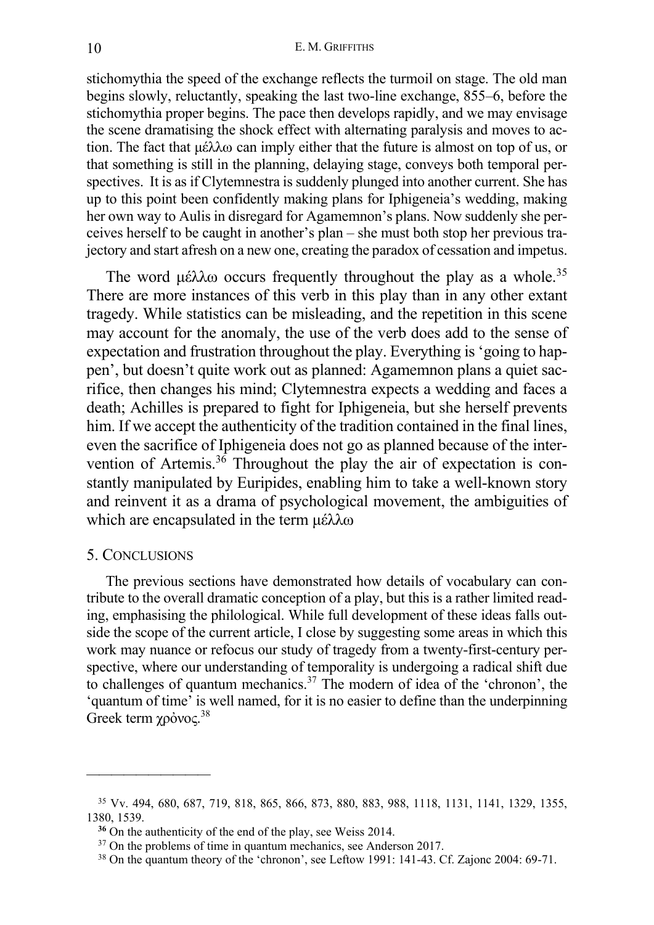stichomythia the speed of the exchange reflects the turmoil on stage. The old man begins slowly, reluctantly, speaking the last two-line exchange, 855–6, before the stichomythia proper begins. The pace then develops rapidly, and we may envisage the scene dramatising the shock effect with alternating paralysis and moves to action. The fact that μέλλω can imply either that the future is almost on top of us, or that something is still in the planning, delaying stage, conveys both temporal perspectives. It is as if Clytemnestra is suddenly plunged into another current. She has up to this point been confidently making plans for Iphigeneia's wedding, making her own way to Aulis in disregard for Agamemnon's plans. Now suddenly she perceives herself to be caught in another's plan – she must both stop her previous trajectory and start afresh on a new one, creating the paradox of cessation and impetus.

The word μέλλω occurs frequently throughout the play as a whole.<sup>35</sup> There are more instances of this verb in this play than in any other extant tragedy. While statistics can be misleading, and the repetition in this scene may account for the anomaly, the use of the verb does add to the sense of expectation and frustration throughout the play. Everything is 'going to happen', but doesn't quite work out as planned: Agamemnon plans a quiet sacrifice, then changes his mind; Clytemnestra expects a wedding and faces a death; Achilles is prepared to fight for Iphigeneia, but she herself prevents him. If we accept the authenticity of the tradition contained in the final lines, even the sacrifice of Iphigeneia does not go as planned because of the intervention of Artemis. $36$  Throughout the play the air of expectation is constantly manipulated by Euripides, enabling him to take a well-known story and reinvent it as a drama of psychological movement, the ambiguities of which are encapsulated in the term μέλλω

## 5. CONCLUSIONS

——————————

The previous sections have demonstrated how details of vocabulary can contribute to the overall dramatic conception of a play, but this is a rather limited reading, emphasising the philological. While full development of these ideas falls outside the scope of the current article, I close by suggesting some areas in which this work may nuance or refocus our study of tragedy from a twenty-first-century perspective, where our understanding of temporality is undergoing a radical shift due to challenges of quantum mechanics.<sup>37</sup> The modern of idea of the 'chronon', the 'quantum of time' is well named, for it is no easier to define than the underpinning Greek term χρόνος.<sup>38</sup>

<sup>35</sup> Vv. 494, 680, 687, 719, 818, 865, 866, 873, 880, 883, 988, 1118, 1131, 1141, 1329, 1355, 1380, 1539.

**<sup>36</sup>** On the authenticity of the end of the play, see Weiss 2014.

<sup>&</sup>lt;sup>37</sup> On the problems of time in quantum mechanics, see Anderson 2017.

<sup>38</sup> On the quantum theory of the 'chronon', see Leftow 1991: 141-43. Cf. Zajonc 2004: 69-71.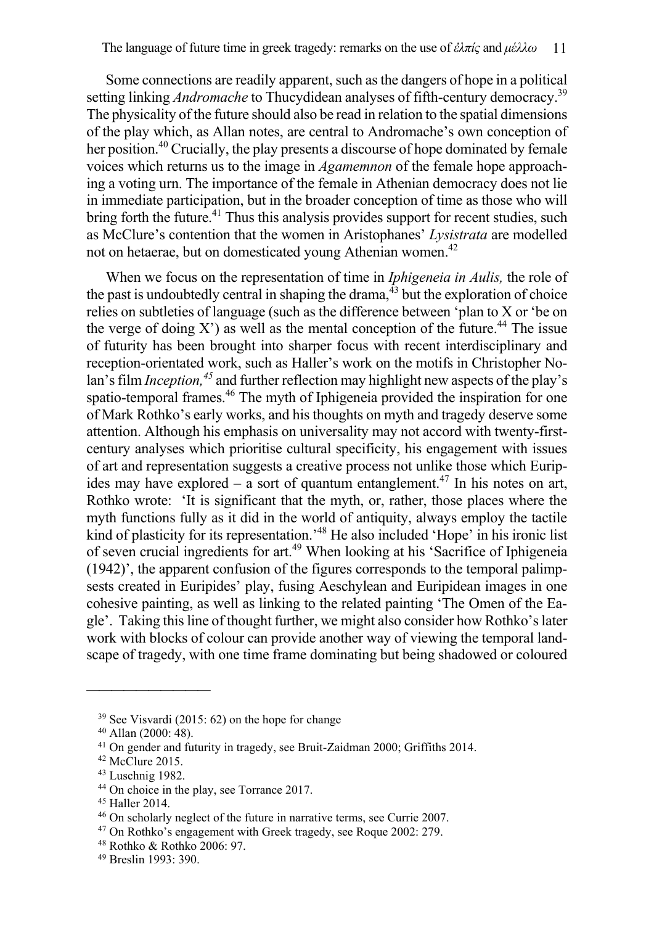Some connections are readily apparent, such as the dangers of hope in a political setting linking *Andromache* to Thucydidean analyses of fifth-century democracy.<sup>39</sup> The physicality of the future should also be read in relation to the spatial dimensions of the play which, as Allan notes, are central to Andromache's own conception of her position.<sup>40</sup> Crucially, the play presents a discourse of hope dominated by female voices which returns us to the image in *Agamemnon* of the female hope approaching a voting urn. The importance of the female in Athenian democracy does not lie in immediate participation, but in the broader conception of time as those who will bring forth the future.<sup>41</sup> Thus this analysis provides support for recent studies, such as McClure's contention that the women in Aristophanes' *Lysistrata* are modelled not on hetaerae, but on domesticated young Athenian women.<sup>42</sup>

When we focus on the representation of time in *Iphigeneia in Aulis,* the role of the past is undoubtedly central in shaping the drama,  $43$  but the exploration of choice relies on subtleties of language (such as the difference between 'plan to X or 'be on the verge of doing X') as well as the mental conception of the future.<sup>44</sup> The issue of futurity has been brought into sharper focus with recent interdisciplinary and reception-orientated work, such as Haller's work on the motifs in Christopher Nolan's film *Inception*,<sup>45</sup> and further reflection may highlight new aspects of the play's spatio-temporal frames.<sup>46</sup> The myth of Iphigeneia provided the inspiration for one of Mark Rothko's early works, and his thoughts on myth and tragedy deserve some attention. Although his emphasis on universality may not accord with twenty-firstcentury analyses which prioritise cultural specificity, his engagement with issues of art and representation suggests a creative process not unlike those which Euripides may have explored – a sort of quantum entanglement.<sup>47</sup> In his notes on art, Rothko wrote: 'It is significant that the myth, or, rather, those places where the myth functions fully as it did in the world of antiquity, always employ the tactile kind of plasticity for its representation.<sup>48</sup> He also included 'Hope' in his ironic list of seven crucial ingredients for art. <sup>49</sup> When looking at his 'Sacrifice of Iphigeneia (1942)', the apparent confusion of the figures corresponds to the temporal palimpsests created in Euripides' play, fusing Aeschylean and Euripidean images in one cohesive painting, as well as linking to the related painting 'The Omen of the Eagle'. Taking this line of thought further, we might also consider how Rothko's later work with blocks of colour can provide another way of viewing the temporal landscape of tragedy, with one time frame dominating but being shadowed or coloured

<sup>39</sup> See Visvardi (2015: 62) on the hope for change

<sup>40</sup> Allan (2000: 48).

<sup>&</sup>lt;sup>41</sup> On gender and futurity in tragedy, see Bruit-Zaidman 2000; Griffiths 2014.

<sup>&</sup>lt;sup>42</sup> McClure 2015.

<sup>43</sup> Luschnig 1982.

<sup>44</sup> On choice in the play, see Torrance 2017.

<sup>45</sup> Haller 2014.

<sup>46</sup> On scholarly neglect of the future in narrative terms, see Currie 2007.

<sup>47</sup> On Rothko's engagement with Greek tragedy, see Roque 2002: 279.

<sup>48</sup> Rothko & Rothko 2006: 97.

<sup>49</sup> Breslin 1993: 390.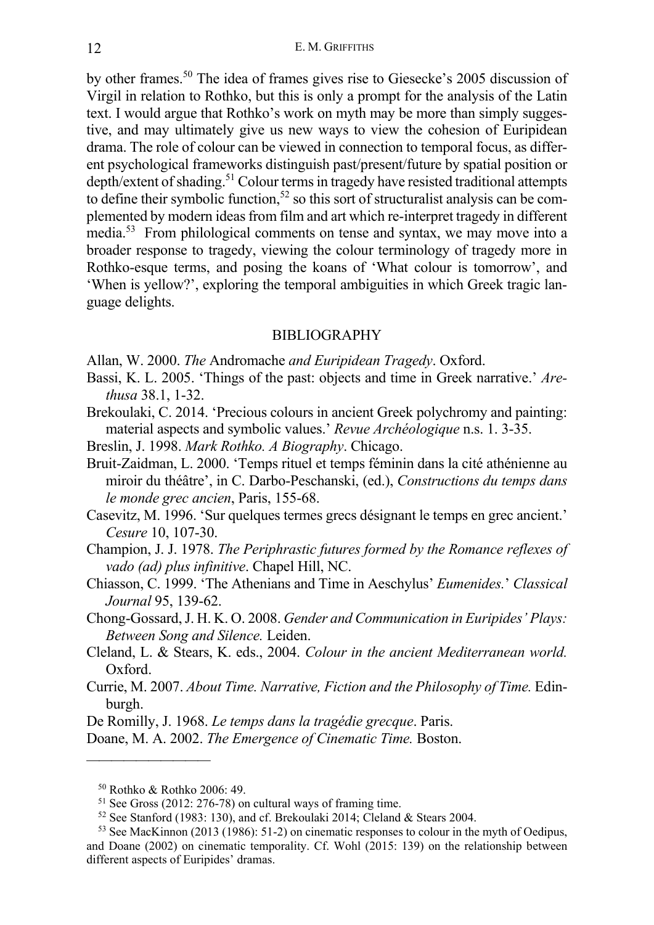by other frames.50 The idea of frames gives rise to Giesecke's 2005 discussion of Virgil in relation to Rothko, but this is only a prompt for the analysis of the Latin text. I would argue that Rothko's work on myth may be more than simply suggestive, and may ultimately give us new ways to view the cohesion of Euripidean drama. The role of colour can be viewed in connection to temporal focus, as different psychological frameworks distinguish past/present/future by spatial position or depth/extent of shading.<sup>51</sup> Colour terms in tragedy have resisted traditional attempts to define their symbolic function,<sup>52</sup> so this sort of structuralist analysis can be complemented by modern ideas from film and art which re-interpret tragedy in different media.<sup>53</sup> From philological comments on tense and syntax, we may move into a broader response to tragedy, viewing the colour terminology of tragedy more in Rothko-esque terms, and posing the koans of 'What colour is tomorrow', and 'When is yellow?', exploring the temporal ambiguities in which Greek tragic language delights.

### BIBLIOGRAPHY

- Allan, W. 2000. *The* Andromache *and Euripidean Tragedy*. Oxford.
- Bassi, K. L. 2005. 'Things of the past: objects and time in Greek narrative.' *Arethusa* 38.1, 1-32.
- Brekoulaki, C. 2014. 'Precious colours in ancient Greek polychromy and painting: material aspects and symbolic values.' *Revue Archéologique* n.s. 1. 3-35.
- Breslin, J. 1998. *Mark Rothko. A Biography*. Chicago.

Bruit-Zaidman, L. 2000. 'Temps rituel et temps féminin dans la cité athénienne au miroir du théâtre', in C. Darbo-Peschanski, (ed.), *Constructions du temps dans le monde grec ancien*, Paris, 155-68.

Casevitz, M. 1996. 'Sur quelques termes grecs désignant le temps en grec ancient.' *Cesure* 10, 107-30.

- Champion, J. J. 1978. *The Periphrastic futures formed by the Romance reflexes of vado (ad) plus infinitive*. Chapel Hill, NC.
- Chiasson, C. 1999. 'The Athenians and Time in Aeschylus' *Eumenides.*' *Classical Journal* 95, 139-62.
- Chong-Gossard, J. H. K. O. 2008. *Gender and Communication in Euripides' Plays: Between Song and Silence.* Leiden.
- Cleland, L. & Stears, K. eds., 2004. *Colour in the ancient Mediterranean world.* Oxford.
- Currie, M. 2007. *About Time. Narrative, Fiction and the Philosophy of Time.* Edinburgh.
- De Romilly, J. 1968. *Le temps dans la tragédie grecque*. Paris.

Doane, M. A. 2002. *The Emergence of Cinematic Time.* Boston.

<sup>50</sup> Rothko & Rothko 2006: 49.

<sup>51</sup> See Gross (2012: 276-78) on cultural ways of framing time.

<sup>52</sup> See Stanford (1983: 130), and cf. Brekoulaki 2014; Cleland & Stears 2004.

<sup>53</sup> See MacKinnon (2013 (1986): 51-2) on cinematic responses to colour in the myth of Oedipus, and Doane (2002) on cinematic temporality. Cf. Wohl (2015: 139) on the relationship between different aspects of Euripides' dramas.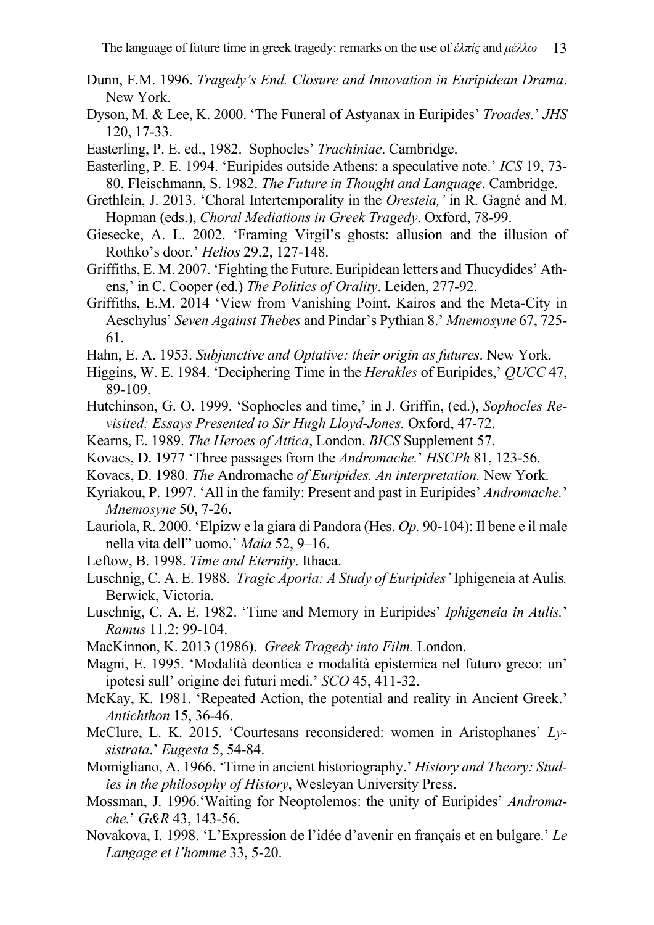- Dunn, F.M. 1996. *Tragedy's End. Closure and Innovation in Euripidean Drama*. New York.
- Dyson, M. & Lee, K. 2000. 'The Funeral of Astyanax in Euripides' *Troades.*' *JHS* 120, 17-33.
- Easterling, P. E. ed., 1982. Sophocles' *Trachiniae*. Cambridge.
- Easterling, P. E. 1994. 'Euripides outside Athens: a speculative note.' *ICS* 19, 73- 80. Fleischmann, S. 1982. *The Future in Thought and Language*. Cambridge.
- Grethlein, J. 2013. 'Choral Intertemporality in the *Oresteia,'* in R. Gagné and M. Hopman (eds.), *Choral Mediations in Greek Tragedy*. Oxford, 78-99.
- Giesecke, A. L. 2002. 'Framing Virgil's ghosts: allusion and the illusion of Rothko's door.' *Helios* 29.2, 127-148.
- Griffiths, E. M. 2007. 'Fighting the Future. Euripidean letters and Thucydides' Athens,' in C. Cooper (ed.) *The Politics of Orality*. Leiden, 277-92.
- Griffiths, E.M. 2014 'View from Vanishing Point. Kairos and the Meta-City in Aeschylus' *Seven Against Thebes* and Pindar's Pythian 8.' *Mnemosyne* 67, 725- 61.
- Hahn, E. A. 1953. *Subjunctive and Optative: their origin as futures*. New York.
- Higgins, W. E. 1984. 'Deciphering Time in the *Herakles* of Euripides,' *QUCC* 47, 89-109.
- Hutchinson, G. O. 1999. 'Sophocles and time,' in J. Griffin, (ed.), *Sophocles Revisited: Essays Presented to Sir Hugh Lloyd-Jones.* Oxford, 47-72.
- Kearns, E. 1989. *The Heroes of Attica*, London. *BICS* Supplement 57.
- Kovacs, D. 1977 'Three passages from the *Andromache.*' *HSCPh* 81, 123-56.
- Kovacs, D. 1980. *The* Andromache *of Euripides. An interpretation.* New York.
- Kyriakou, P. 1997. 'All in the family: Present and past in Euripides' *Andromache.*' *Mnemosyne* 50, 7-26.
- Lauriola, R. 2000. 'Elpizw e la giara di Pandora (Hes. *Op.* 90-104): Il bene e il male nella vita dell" uomo.' *Maia* 52, 9–16.
- Leftow, B. 1998. *Time and Eternity*. Ithaca.
- Luschnig, C. A. E. 1988. *Tragic Aporia: A Study of Euripides'* Iphigeneia at Aulis*.* Berwick, Victoria.
- Luschnig, C. A. E. 1982. 'Time and Memory in Euripides' *Iphigeneia in Aulis.*' *Ramus* 11.2: 99-104.
- MacKinnon, K. 2013 (1986). *Greek Tragedy into Film.* London.
- Magni, E. 1995. 'Modalità deontica e modalità epistemica nel futuro greco: un' ipotesi sull' origine dei futuri medi.' *SCO* 45, 411-32.
- McKay, K. 1981. 'Repeated Action, the potential and reality in Ancient Greek.' *Antichthon* 15, 36-46.
- McClure, L. K. 2015. 'Courtesans reconsidered: women in Aristophanes' *Lysistrata*.' *Eugesta* 5, 54-84.
- Momigliano, A. 1966. 'Time in ancient historiography.' *History and Theory: Studies in the philosophy of History*, Wesleyan University Press.
- Mossman, J. 1996.'Waiting for Neoptolemos: the unity of Euripides' *Andromache.*' *G&R* 43, 143-56.
- Novakova, I. 1998. 'L'Expression de l'idée d'avenir en français et en bulgare.' *Le Langage et l'homme* 33, 5-20.